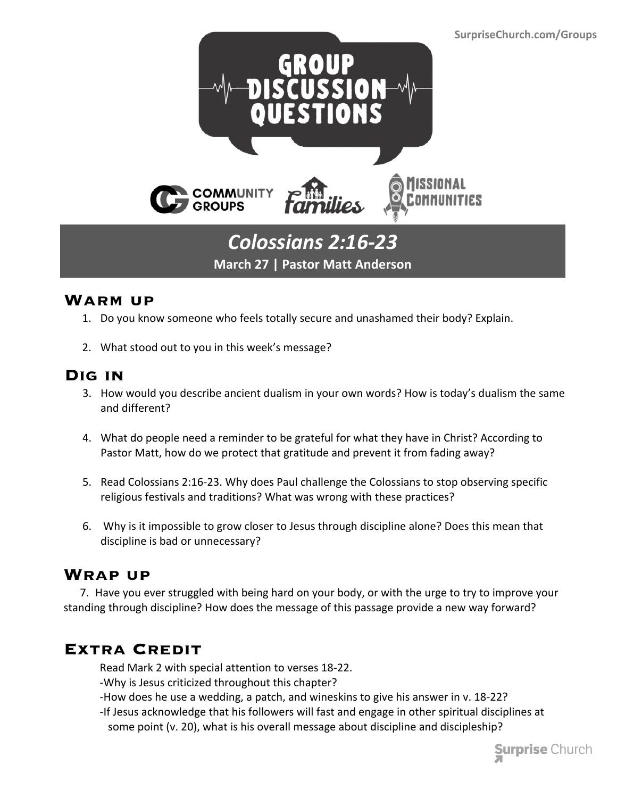

# **March 27 | Pastor Matt Anderson**

#### **Warm up**

- 1. Do you know someone who feels totally secure and unashamed their body? Explain.
- 2. What stood out to you in this week's message?

#### **Dig in**

- 3. How would you describe ancient dualism in your own words? How is today's dualism the same and different?
- 4. What do people need a reminder to be grateful for what they have in Christ? According to Pastor Matt, how do we protect that gratitude and prevent it from fading away?
- 5. Read Colossians 2:16-23. Why does Paul challenge the Colossians to stop observing specific religious festivals and traditions? What was wrong with these practices?
- 6. Why is it impossible to grow closer to Jesus through discipline alone? Does this mean that discipline is bad or unnecessary?

## **Wrap up**

 7. Have you ever struggled with being hard on your body, or with the urge to try to improve your standing through discipline? How does the message of this passage provide a new way forward?

## **Extra Credit**

Read Mark 2 with special attention to verses 18-22.

- -Why is Jesus criticized throughout this chapter?
- -How does he use a wedding, a patch, and wineskins to give his answer in v. 18-22?
- -If Jesus acknowledge that his followers will fast and engage in other spiritual disciplines at some point (v. 20), what is his overall message about discipline and discipleship?